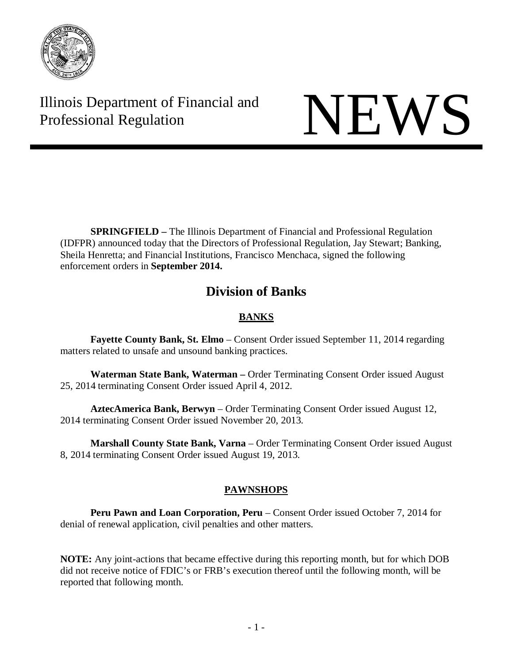

Illinois Department of Financial and Illinois Department of Financial and<br>Professional Regulation

**SPRINGFIELD –** The Illinois Department of Financial and Professional Regulation (IDFPR) announced today that the Directors of Professional Regulation, Jay Stewart; Banking, Sheila Henretta; and Financial Institutions, Francisco Menchaca, signed the following enforcement orders in **September 2014.**

# **Division of Banks**

# **BANKS**

**Fayette County Bank, St. Elmo** – Consent Order issued September 11, 2014 regarding matters related to unsafe and unsound banking practices.

**Waterman State Bank, Waterman –** Order Terminating Consent Order issued August 25, 2014 terminating Consent Order issued April 4, 2012.

**AztecAmerica Bank, Berwyn** – Order Terminating Consent Order issued August 12, 2014 terminating Consent Order issued November 20, 2013.

**Marshall County State Bank, Varna** – Order Terminating Consent Order issued August 8, 2014 terminating Consent Order issued August 19, 2013.

# **PAWNSHOPS**

**Peru Pawn and Loan Corporation, Peru** – Consent Order issued October 7, 2014 for denial of renewal application, civil penalties and other matters.

**NOTE:** Any joint-actions that became effective during this reporting month, but for which DOB did not receive notice of FDIC's or FRB's execution thereof until the following month, will be reported that following month.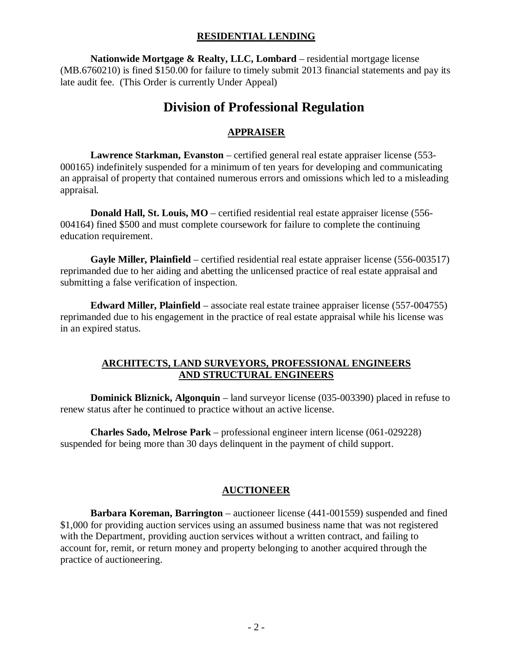## **RESIDENTIAL LENDING**

**Nationwide Mortgage & Realty, LLC, Lombard** – residential mortgage license (MB.6760210) is fined \$150.00 for failure to timely submit 2013 financial statements and pay its late audit fee. (This Order is currently Under Appeal)

# **Division of Professional Regulation**

# **APPRAISER**

**Lawrence Starkman, Evanston** – certified general real estate appraiser license (553- 000165) indefinitely suspended for a minimum of ten years for developing and communicating an appraisal of property that contained numerous errors and omissions which led to a misleading appraisal.

**Donald Hall, St. Louis, MO** – certified residential real estate appraiser license (556-004164) fined \$500 and must complete coursework for failure to complete the continuing education requirement.

**Gayle Miller, Plainfield** – certified residential real estate appraiser license (556-003517) reprimanded due to her aiding and abetting the unlicensed practice of real estate appraisal and submitting a false verification of inspection.

**Edward Miller, Plainfield** – associate real estate trainee appraiser license (557-004755) reprimanded due to his engagement in the practice of real estate appraisal while his license was in an expired status.

# **ARCHITECTS, LAND SURVEYORS, PROFESSIONAL ENGINEERS AND STRUCTURAL ENGINEERS**

**Dominick Bliznick, Algonquin** – land surveyor license (035-003390) placed in refuse to renew status after he continued to practice without an active license.

**Charles Sado, Melrose Park** – professional engineer intern license (061-029228) suspended for being more than 30 days delinquent in the payment of child support.

# **AUCTIONEER**

**Barbara Koreman, Barrington** – auctioneer license (441-001559) suspended and fined \$1,000 for providing auction services using an assumed business name that was not registered with the Department, providing auction services without a written contract, and failing to account for, remit, or return money and property belonging to another acquired through the practice of auctioneering.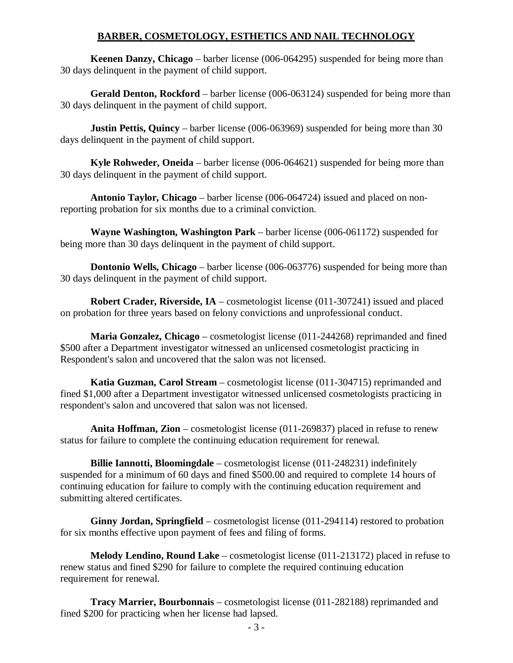## **BARBER, COSMETOLOGY, ESTHETICS AND NAIL TECHNOLOGY**

**Keenen Danzy, Chicago** – barber license (006-064295) suspended for being more than 30 days delinquent in the payment of child support.

**Gerald Denton, Rockford** – barber license (006-063124) suspended for being more than 30 days delinquent in the payment of child support.

**Justin Pettis, Quincy** – barber license (006-063969) suspended for being more than 30 days delinquent in the payment of child support.

**Kyle Rohweder, Oneida** – barber license (006-064621) suspended for being more than 30 days delinquent in the payment of child support.

**Antonio Taylor, Chicago** – barber license (006-064724) issued and placed on nonreporting probation for six months due to a criminal conviction.

**Wayne Washington, Washington Park** – barber license (006-061172) suspended for being more than 30 days delinquent in the payment of child support.

**Dontonio Wells, Chicago** – barber license (006-063776) suspended for being more than 30 days delinquent in the payment of child support.

**Robert Crader, Riverside, IA** – cosmetologist license (011-307241) issued and placed on probation for three years based on felony convictions and unprofessional conduct.

**Maria Gonzalez, Chicago** – cosmetologist license (011-244268) reprimanded and fined \$500 after a Department investigator witnessed an unlicensed cosmetologist practicing in Respondent's salon and uncovered that the salon was not licensed.

**Katia Guzman, Carol Stream** – cosmetologist license (011-304715) reprimanded and fined \$1,000 after a Department investigator witnessed unlicensed cosmetologists practicing in respondent's salon and uncovered that salon was not licensed.

**Anita Hoffman, Zion** – cosmetologist license (011-269837) placed in refuse to renew status for failure to complete the continuing education requirement for renewal.

**Billie Iannotti, Bloomingdale** – cosmetologist license (011-248231) indefinitely suspended for a minimum of 60 days and fined \$500.00 and required to complete 14 hours of continuing education for failure to comply with the continuing education requirement and submitting altered certificates.

**Ginny Jordan, Springfield** – cosmetologist license (011-294114) restored to probation for six months effective upon payment of fees and filing of forms.

**Melody Lendino, Round Lake** – cosmetologist license (011-213172) placed in refuse to renew status and fined \$290 for failure to complete the required continuing education requirement for renewal.

**Tracy Marrier, Bourbonnais** – cosmetologist license (011-282188) reprimanded and fined \$200 for practicing when her license had lapsed.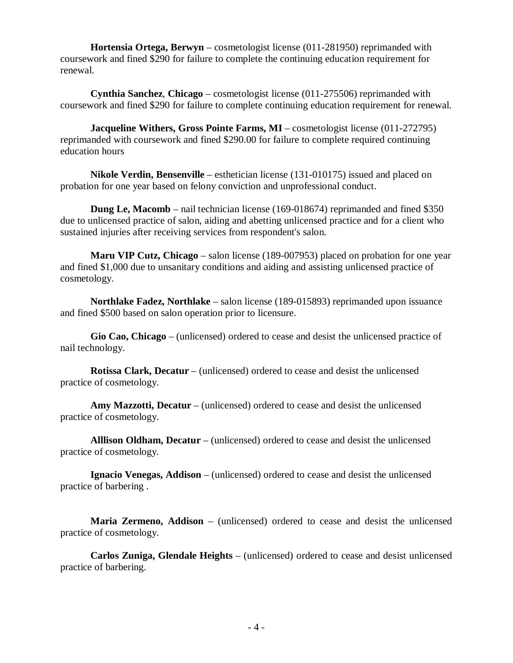**Hortensia Ortega, Berwyn** – cosmetologist license (011-281950) reprimanded with coursework and fined \$290 for failure to complete the continuing education requirement for renewal.

**Cynthia Sanchez**, **Chicago** – cosmetologist license (011-275506) reprimanded with coursework and fined \$290 for failure to complete continuing education requirement for renewal.

**Jacqueline Withers, Gross Pointe Farms, MI** – cosmetologist license (011-272795) reprimanded with coursework and fined \$290.00 for failure to complete required continuing education hours

**Nikole Verdin, Bensenville** – esthetician license (131-010175) issued and placed on probation for one year based on felony conviction and unprofessional conduct.

**Dung Le, Macomb** – nail technician license (169-018674) reprimanded and fined \$350 due to unlicensed practice of salon, aiding and abetting unlicensed practice and for a client who sustained injuries after receiving services from respondent's salon.

**Maru VIP Cutz, Chicago** – salon license (189-007953) placed on probation for one year and fined \$1,000 due to unsanitary conditions and aiding and assisting unlicensed practice of cosmetology.

**Northlake Fadez, Northlake** – salon license (189-015893) reprimanded upon issuance and fined \$500 based on salon operation prior to licensure.

**Gio Cao, Chicago** – (unlicensed) ordered to cease and desist the unlicensed practice of nail technology.

**Rotissa Clark, Decatur** – (unlicensed) ordered to cease and desist the unlicensed practice of cosmetology.

**Amy Mazzotti, Decatur** – (unlicensed) ordered to cease and desist the unlicensed practice of cosmetology.

**Alllison Oldham, Decatur** – (unlicensed) ordered to cease and desist the unlicensed practice of cosmetology.

**Ignacio Venegas, Addison** – (unlicensed) ordered to cease and desist the unlicensed practice of barbering .

**Maria Zermeno, Addison** – (unlicensed) ordered to cease and desist the unlicensed practice of cosmetology.

**Carlos Zuniga, Glendale Heights** – (unlicensed) ordered to cease and desist unlicensed practice of barbering.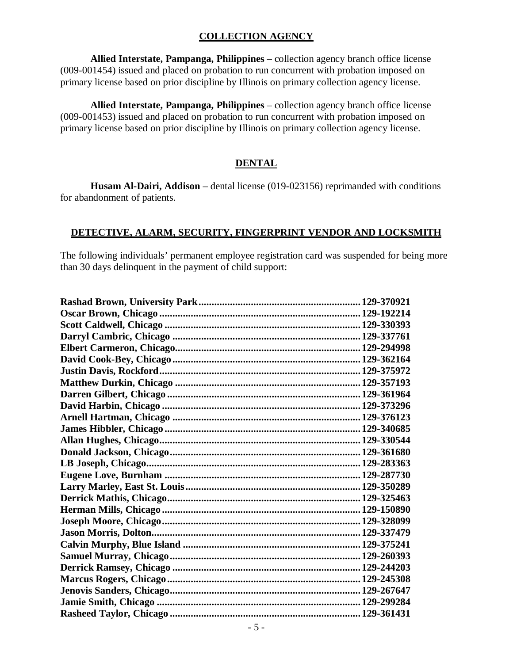#### **COLLECTION AGENCY**

**Allied Interstate, Pampanga, Philippines** – collection agency branch office license (009-001454) issued and placed on probation to run concurrent with probation imposed on primary license based on prior discipline by Illinois on primary collection agency license.

**Allied Interstate, Pampanga, Philippines** – collection agency branch office license (009-001453) issued and placed on probation to run concurrent with probation imposed on primary license based on prior discipline by Illinois on primary collection agency license.

#### **DENTAL**

**Husam Al-Dairi, Addison** – dental license (019-023156) reprimanded with conditions for abandonment of patients.

#### **DETECTIVE, ALARM, SECURITY, FINGERPRINT VENDOR AND LOCKSMITH**

The following individuals' permanent employee registration card was suspended for being more than 30 days delinquent in the payment of child support: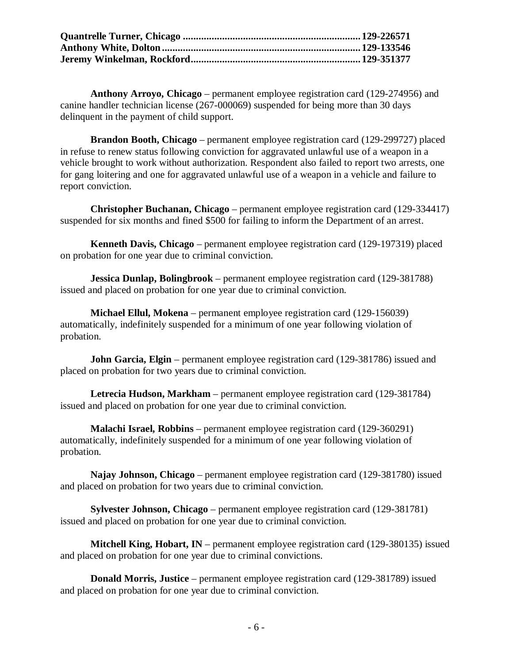**Anthony Arroyo, Chicago** – permanent employee registration card (129-274956) and canine handler technician license (267-000069) suspended for being more than 30 days delinquent in the payment of child support.

**Brandon Booth, Chicago** – permanent employee registration card (129-299727) placed in refuse to renew status following conviction for aggravated unlawful use of a weapon in a vehicle brought to work without authorization. Respondent also failed to report two arrests, one for gang loitering and one for aggravated unlawful use of a weapon in a vehicle and failure to report conviction.

**Christopher Buchanan, Chicago** – permanent employee registration card (129-334417) suspended for six months and fined \$500 for failing to inform the Department of an arrest.

**Kenneth Davis, Chicago** – permanent employee registration card (129-197319) placed on probation for one year due to criminal conviction.

**Jessica Dunlap, Bolingbrook** – permanent employee registration card (129-381788) issued and placed on probation for one year due to criminal conviction.

**Michael Ellul, Mokena** – permanent employee registration card (129-156039) automatically, indefinitely suspended for a minimum of one year following violation of probation.

**John Garcia, Elgin** – permanent employee registration card (129-381786) issued and placed on probation for two years due to criminal conviction.

**Letrecia Hudson, Markham** – permanent employee registration card (129-381784) issued and placed on probation for one year due to criminal conviction.

**Malachi Israel, Robbins** – permanent employee registration card (129-360291) automatically, indefinitely suspended for a minimum of one year following violation of probation.

**Najay Johnson, Chicago** – permanent employee registration card (129-381780) issued and placed on probation for two years due to criminal conviction.

**Sylvester Johnson, Chicago** – permanent employee registration card (129-381781) issued and placed on probation for one year due to criminal conviction.

**Mitchell King, Hobart, IN** – permanent employee registration card (129-380135) issued and placed on probation for one year due to criminal convictions.

**Donald Morris, Justice** – permanent employee registration card (129-381789) issued and placed on probation for one year due to criminal conviction.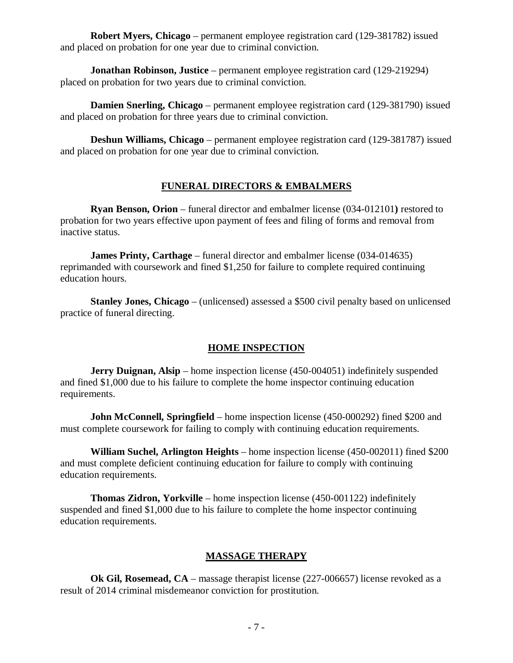**Robert Myers, Chicago** – permanent employee registration card (129-381782) issued and placed on probation for one year due to criminal conviction.

**Jonathan Robinson, Justice** – permanent employee registration card (129-219294) placed on probation for two years due to criminal conviction.

**Damien Snerling, Chicago** – permanent employee registration card (129-381790) issued and placed on probation for three years due to criminal conviction.

**Deshun Williams, Chicago** – permanent employee registration card (129-381787) issued and placed on probation for one year due to criminal conviction.

# **FUNERAL DIRECTORS & EMBALMERS**

**Ryan Benson, Orion** – funeral director and embalmer license (034-012101**)** restored to probation for two years effective upon payment of fees and filing of forms and removal from inactive status.

**James Printy, Carthage** – funeral director and embalmer license (034-014635) reprimanded with coursework and fined \$1,250 for failure to complete required continuing education hours.

**Stanley Jones, Chicago** – (unlicensed) assessed a \$500 civil penalty based on unlicensed practice of funeral directing.

# **HOME INSPECTION**

**Jerry Duignan, Alsip** – home inspection license (450-004051) indefinitely suspended and fined \$1,000 due to his failure to complete the home inspector continuing education requirements.

**John McConnell, Springfield** – home inspection license (450-000292) fined \$200 and must complete coursework for failing to comply with continuing education requirements.

**William Suchel, Arlington Heights** – home inspection license (450-002011) fined \$200 and must complete deficient continuing education for failure to comply with continuing education requirements.

**Thomas Zidron, Yorkville** – home inspection license (450-001122) indefinitely suspended and fined \$1,000 due to his failure to complete the home inspector continuing education requirements.

# **MASSAGE THERAPY**

**Ok Gil, Rosemead, CA** – massage therapist license (227-006657) license revoked as a result of 2014 criminal misdemeanor conviction for prostitution.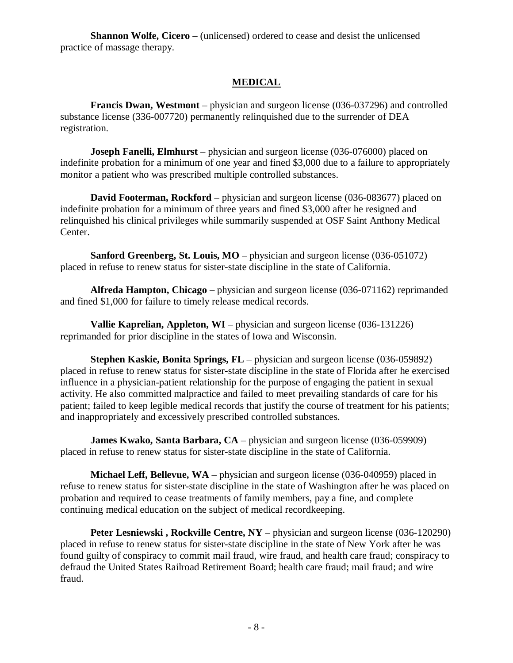**Shannon Wolfe, Cicero** – (unlicensed) ordered to cease and desist the unlicensed practice of massage therapy.

## **MEDICAL**

**Francis Dwan, Westmont** – physician and surgeon license (036-037296) and controlled substance license (336-007720) permanently relinquished due to the surrender of DEA registration.

**Joseph Fanelli, Elmhurst** – physician and surgeon license (036-076000) placed on indefinite probation for a minimum of one year and fined \$3,000 due to a failure to appropriately monitor a patient who was prescribed multiple controlled substances.

**David Footerman, Rockford** – physician and surgeon license (036-083677) placed on indefinite probation for a minimum of three years and fined \$3,000 after he resigned and relinquished his clinical privileges while summarily suspended at OSF Saint Anthony Medical Center.

**Sanford Greenberg, St. Louis, MO** – physician and surgeon license (036-051072) placed in refuse to renew status for sister-state discipline in the state of California.

**Alfreda Hampton, Chicago** – physician and surgeon license (036-071162) reprimanded and fined \$1,000 for failure to timely release medical records.

**Vallie Kaprelian, Appleton, WI** – physician and surgeon license (036-131226) reprimanded for prior discipline in the states of Iowa and Wisconsin.

**Stephen Kaskie, Bonita Springs, FL** – physician and surgeon license (036-059892) placed in refuse to renew status for sister-state discipline in the state of Florida after he exercised influence in a physician-patient relationship for the purpose of engaging the patient in sexual activity. He also committed malpractice and failed to meet prevailing standards of care for his patient; failed to keep legible medical records that justify the course of treatment for his patients; and inappropriately and excessively prescribed controlled substances.

**James Kwako, Santa Barbara, CA** – physician and surgeon license (036-059909) placed in refuse to renew status for sister-state discipline in the state of California.

**Michael Leff, Bellevue, WA** – physician and surgeon license (036-040959) placed in refuse to renew status for sister-state discipline in the state of Washington after he was placed on probation and required to cease treatments of family members, pay a fine, and complete continuing medical education on the subject of medical recordkeeping.

**Peter Lesniewski, Rockville Centre, NY** – physician and surgeon license (036-120290) placed in refuse to renew status for sister-state discipline in the state of New York after he was found guilty of conspiracy to commit mail fraud, wire fraud, and health care fraud; conspiracy to defraud the United States Railroad Retirement Board; health care fraud; mail fraud; and wire fraud.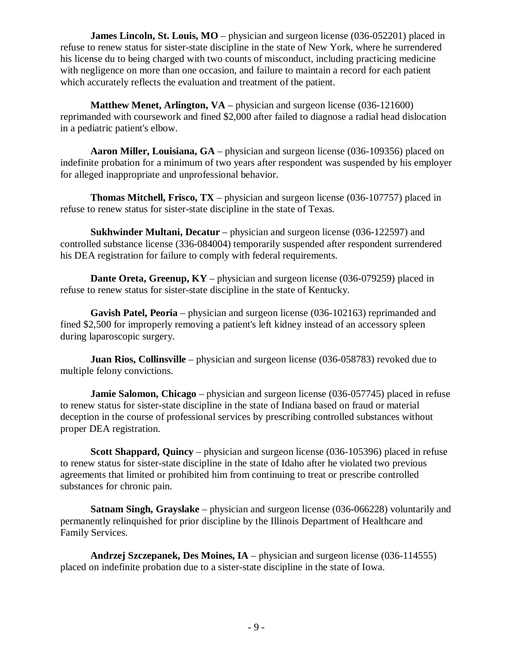**James Lincoln, St. Louis, MO** – physician and surgeon license (036-052201) placed in refuse to renew status for sister-state discipline in the state of New York, where he surrendered his license du to being charged with two counts of misconduct, including practicing medicine with negligence on more than one occasion, and failure to maintain a record for each patient which accurately reflects the evaluation and treatment of the patient.

**Matthew Menet, Arlington, VA** – physician and surgeon license (036-121600) reprimanded with coursework and fined \$2,000 after failed to diagnose a radial head dislocation in a pediatric patient's elbow.

**Aaron Miller, Louisiana, GA** – physician and surgeon license (036-109356) placed on indefinite probation for a minimum of two years after respondent was suspended by his employer for alleged inappropriate and unprofessional behavior.

**Thomas Mitchell, Frisco, TX** – physician and surgeon license (036-107757) placed in refuse to renew status for sister-state discipline in the state of Texas.

**Sukhwinder Multani, Decatur** – physician and surgeon license (036-122597) and controlled substance license (336-084004) temporarily suspended after respondent surrendered his DEA registration for failure to comply with federal requirements.

**Dante Oreta, Greenup, KY** – physician and surgeon license (036-079259) placed in refuse to renew status for sister-state discipline in the state of Kentucky.

**Gavish Patel, Peoria** – physician and surgeon license (036-102163) reprimanded and fined \$2,500 for improperly removing a patient's left kidney instead of an accessory spleen during laparoscopic surgery.

**Juan Rios, Collinsville** – physician and surgeon license (036-058783) revoked due to multiple felony convictions.

**Jamie Salomon, Chicago** – physician and surgeon license (036-057745) placed in refuse to renew status for sister-state discipline in the state of Indiana based on fraud or material deception in the course of professional services by prescribing controlled substances without proper DEA registration.

**Scott Shappard, Quincy** – physician and surgeon license (036-105396) placed in refuse to renew status for sister-state discipline in the state of Idaho after he violated two previous agreements that limited or prohibited him from continuing to treat or prescribe controlled substances for chronic pain.

**Satnam Singh, Grayslake** – physician and surgeon license (036-066228) voluntarily and permanently relinquished for prior discipline by the Illinois Department of Healthcare and Family Services.

**Andrzej Szczepanek, Des Moines, IA** – physician and surgeon license (036-114555) placed on indefinite probation due to a sister-state discipline in the state of Iowa.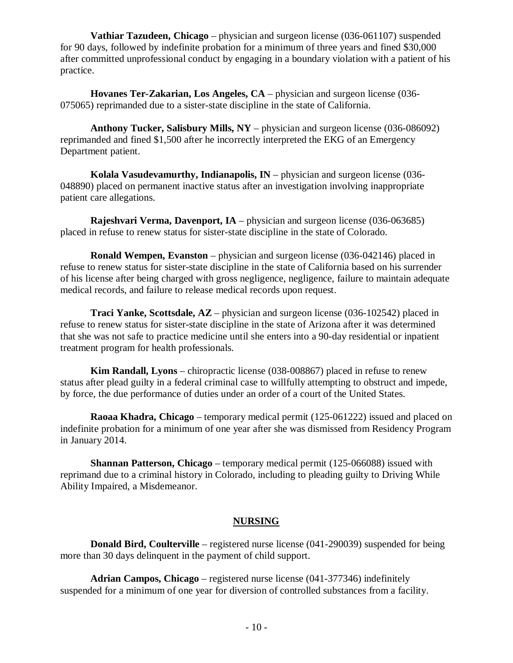**Vathiar Tazudeen, Chicago** – physician and surgeon license (036-061107) suspended for 90 days, followed by indefinite probation for a minimum of three years and fined \$30,000 after committed unprofessional conduct by engaging in a boundary violation with a patient of his practice.

**Hovanes Ter-Zakarian, Los Angeles, CA** – physician and surgeon license (036- 075065) reprimanded due to a sister-state discipline in the state of California.

**Anthony Tucker, Salisbury Mills, NY** – physician and surgeon license (036-086092) reprimanded and fined \$1,500 after he incorrectly interpreted the EKG of an Emergency Department patient.

**Kolala Vasudevamurthy, Indianapolis, IN** – physician and surgeon license (036- 048890) placed on permanent inactive status after an investigation involving inappropriate patient care allegations.

**Rajeshvari Verma, Davenport, IA** – physician and surgeon license (036-063685) placed in refuse to renew status for sister-state discipline in the state of Colorado.

**Ronald Wempen, Evanston** – physician and surgeon license (036-042146) placed in refuse to renew status for sister-state discipline in the state of California based on his surrender of his license after being charged with gross negligence, negligence, failure to maintain adequate medical records, and failure to release medical records upon request.

**Traci Yanke, Scottsdale, AZ** – physician and surgeon license (036-102542) placed in refuse to renew status for sister-state discipline in the state of Arizona after it was determined that she was not safe to practice medicine until she enters into a 90-day residential or inpatient treatment program for health professionals.

**Kim Randall, Lyons** – chiropractic license (038-008867) placed in refuse to renew status after plead guilty in a federal criminal case to willfully attempting to obstruct and impede, by force, the due performance of duties under an order of a court of the United States.

**Raoaa Khadra, Chicago** – temporary medical permit (125-061222) issued and placed on indefinite probation for a minimum of one year after she was dismissed from Residency Program in January 2014.

**Shannan Patterson, Chicago** – temporary medical permit (125-066088) issued with reprimand due to a criminal history in Colorado, including to pleading guilty to Driving While Ability Impaired, a Misdemeanor.

#### **NURSING**

**Donald Bird, Coulterville** – registered nurse license (041-290039) suspended for being more than 30 days delinquent in the payment of child support.

**Adrian Campos, Chicago** – registered nurse license (041-377346) indefinitely suspended for a minimum of one year for diversion of controlled substances from a facility.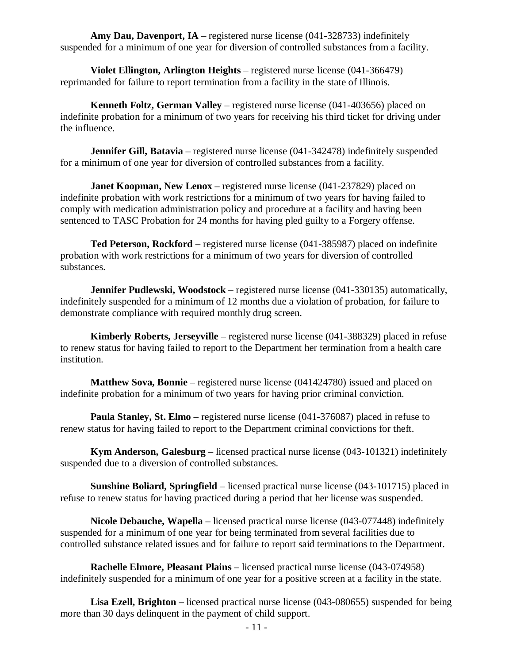**Amy Dau, Davenport, IA** – registered nurse license (041-328733) indefinitely suspended for a minimum of one year for diversion of controlled substances from a facility.

**Violet Ellington, Arlington Heights** – registered nurse license (041-366479) reprimanded for failure to report termination from a facility in the state of Illinois.

**Kenneth Foltz, German Valley** – registered nurse license (041-403656) placed on indefinite probation for a minimum of two years for receiving his third ticket for driving under the influence.

**Jennifer Gill, Batavia** – registered nurse license (041-342478) indefinitely suspended for a minimum of one year for diversion of controlled substances from a facility.

**Janet Koopman, New Lenox** – registered nurse license (041-237829) placed on indefinite probation with work restrictions for a minimum of two years for having failed to comply with medication administration policy and procedure at a facility and having been sentenced to TASC Probation for 24 months for having pled guilty to a Forgery offense.

**Ted Peterson, Rockford** – registered nurse license (041-385987) placed on indefinite probation with work restrictions for a minimum of two years for diversion of controlled substances.

**Jennifer Pudlewski, Woodstock** – registered nurse license (041-330135) automatically, indefinitely suspended for a minimum of 12 months due a violation of probation, for failure to demonstrate compliance with required monthly drug screen.

**Kimberly Roberts, Jerseyville** – registered nurse license (041-388329) placed in refuse to renew status for having failed to report to the Department her termination from a health care institution.

**Matthew Sova, Bonnie** – registered nurse license (041424780) issued and placed on indefinite probation for a minimum of two years for having prior criminal conviction.

**Paula Stanley, St. Elmo** – registered nurse license (041-376087) placed in refuse to renew status for having failed to report to the Department criminal convictions for theft.

**Kym Anderson, Galesburg** – licensed practical nurse license (043-101321) indefinitely suspended due to a diversion of controlled substances.

**Sunshine Boliard, Springfield** – licensed practical nurse license (043-101715) placed in refuse to renew status for having practiced during a period that her license was suspended.

**Nicole Debauche, Wapella** – licensed practical nurse license (043-077448) indefinitely suspended for a minimum of one year for being terminated from several facilities due to controlled substance related issues and for failure to report said terminations to the Department.

**Rachelle Elmore, Pleasant Plains** – licensed practical nurse license (043-074958) indefinitely suspended for a minimum of one year for a positive screen at a facility in the state.

**Lisa Ezell, Brighton** – licensed practical nurse license (043-080655) suspended for being more than 30 days delinquent in the payment of child support.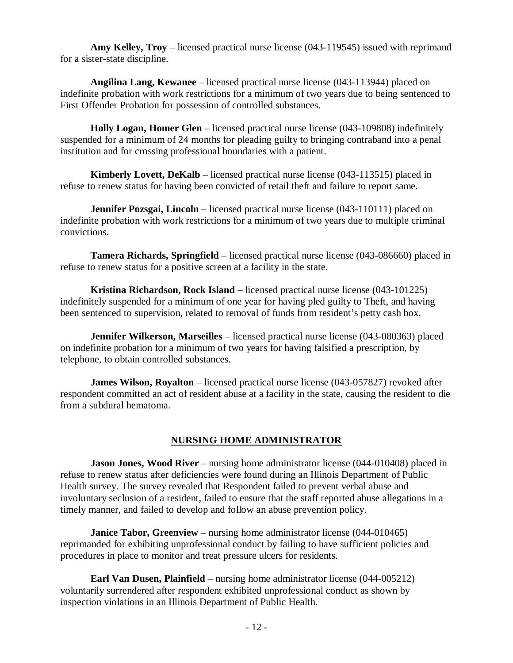**Amy Kelley, Troy** – licensed practical nurse license (043-119545) issued with reprimand for a sister-state discipline.

**Angilina Lang, Kewanee** – licensed practical nurse license (043-113944) placed on indefinite probation with work restrictions for a minimum of two years due to being sentenced to First Offender Probation for possession of controlled substances.

**Holly Logan, Homer Glen** – licensed practical nurse license (043-109808) indefinitely suspended for a minimum of 24 months for pleading guilty to bringing contraband into a penal institution and for crossing professional boundaries with a patient.

**Kimberly Lovett, DeKalb** – licensed practical nurse license (043-113515) placed in refuse to renew status for having been convicted of retail theft and failure to report same.

**Jennifer Pozsgai, Lincoln** – licensed practical nurse license (043-110111) placed on indefinite probation with work restrictions for a minimum of two years due to multiple criminal convictions.

**Tamera Richards, Springfield** – licensed practical nurse license (043-086660) placed in refuse to renew status for a positive screen at a facility in the state.

**Kristina Richardson, Rock Island** – licensed practical nurse license (043-101225) indefinitely suspended for a minimum of one year for having pled guilty to Theft, and having been sentenced to supervision, related to removal of funds from resident's petty cash box.

**Jennifer Wilkerson, Marseilles** – licensed practical nurse license (043-080363) placed on indefinite probation for a minimum of two years for having falsified a prescription, by telephone, to obtain controlled substances.

**James Wilson, Royalton** – licensed practical nurse license (043-057827) revoked after respondent committed an act of resident abuse at a facility in the state, causing the resident to die from a subdural hematoma.

#### **NURSING HOME ADMINISTRATOR**

**Jason Jones, Wood River** – nursing home administrator license (044-010408) placed in refuse to renew status after deficiencies were found during an Illinois Department of Public Health survey. The survey revealed that Respondent failed to prevent verbal abuse and involuntary seclusion of a resident, failed to ensure that the staff reported abuse allegations in a timely manner, and failed to develop and follow an abuse prevention policy.

**Janice Tabor, Greenview** – nursing home administrator license (044-010465) reprimanded for exhibiting unprofessional conduct by failing to have sufficient policies and procedures in place to monitor and treat pressure ulcers for residents.

**Earl Van Dusen, Plainfield** – nursing home administrator license (044-005212) voluntarily surrendered after respondent exhibited unprofessional conduct as shown by inspection violations in an Illinois Department of Public Health.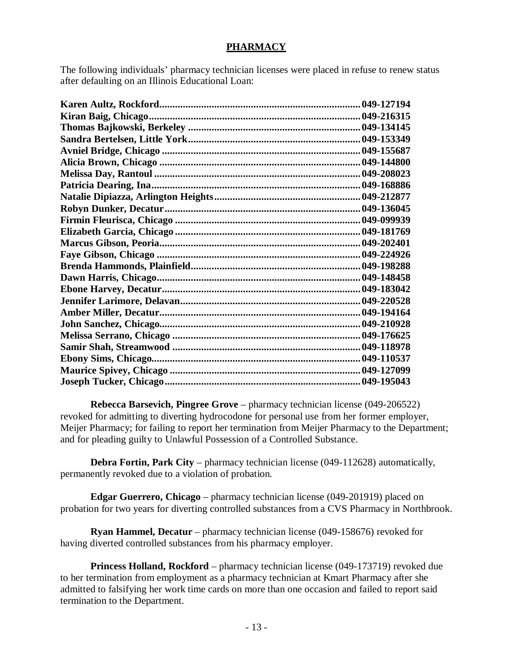# **PHARMACY**

The following individuals' pharmacy technician licenses were placed in refuse to renew status after defaulting on an Illinois Educational Loan:

| 049-127194   |
|--------------|
| 049-216315   |
|              |
|              |
|              |
|              |
|              |
|              |
|              |
|              |
|              |
|              |
|              |
|              |
|              |
|              |
|              |
|              |
|              |
|              |
|              |
|              |
|              |
|              |
| . 049-195043 |

**Rebecca Barsevich, Pingree Grove** – pharmacy technician license (049-206522) revoked for admitting to diverting hydrocodone for personal use from her former employer, Meijer Pharmacy; for failing to report her termination from Meijer Pharmacy to the Department; and for pleading guilty to Unlawful Possession of a Controlled Substance.

**Debra Fortin, Park City** – pharmacy technician license (049-112628) automatically, permanently revoked due to a violation of probation.

**Edgar Guerrero, Chicago** – pharmacy technician license (049-201919) placed on probation for two years for diverting controlled substances from a CVS Pharmacy in Northbrook.

**Ryan Hammel, Decatur** – pharmacy technician license (049-158676) revoked for having diverted controlled substances from his pharmacy employer.

**Princess Holland, Rockford** – pharmacy technician license (049-173719) revoked due to her termination from employment as a pharmacy technician at Kmart Pharmacy after she admitted to falsifying her work time cards on more than one occasion and failed to report said termination to the Department.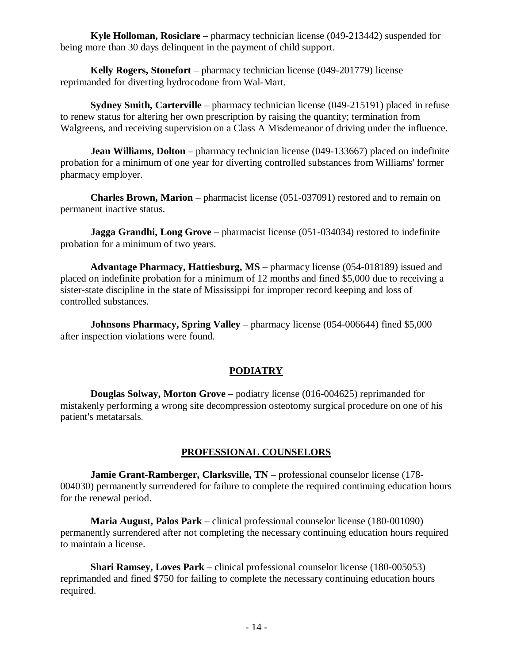**Kyle Holloman, Rosiclare** – pharmacy technician license (049-213442) suspended for being more than 30 days delinquent in the payment of child support.

**Kelly Rogers, Stonefort** – pharmacy technician license (049-201779) license reprimanded for diverting hydrocodone from Wal-Mart.

**Sydney Smith, Carterville** – pharmacy technician license (049-215191) placed in refuse to renew status for altering her own prescription by raising the quantity; termination from Walgreens, and receiving supervision on a Class A Misdemeanor of driving under the influence.

**Jean Williams, Dolton** – pharmacy technician license (049-133667) placed on indefinite probation for a minimum of one year for diverting controlled substances from Williams' former pharmacy employer.

**Charles Brown, Marion** – pharmacist license (051-037091) restored and to remain on permanent inactive status.

**Jagga Grandhi, Long Grove** – pharmacist license (051-034034) restored to indefinite probation for a minimum of two years.

**Advantage Pharmacy, Hattiesburg, MS** – pharmacy license (054-018189) issued and placed on indefinite probation for a minimum of 12 months and fined \$5,000 due to receiving a sister-state discipline in the state of Mississippi for improper record keeping and loss of controlled substances.

**Johnsons Pharmacy, Spring Valley** – pharmacy license (054-006644) fined \$5,000 after inspection violations were found.

# **PODIATRY**

**Douglas Solway, Morton Grove** – podiatry license (016-004625) reprimanded for mistakenly performing a wrong site decompression osteotomy surgical procedure on one of his patient's metatarsals.

#### **PROFESSIONAL COUNSELORS**

**Jamie Grant-Ramberger, Clarksville, TN** – professional counselor license (178- 004030) permanently surrendered for failure to complete the required continuing education hours for the renewal period.

**Maria August, Palos Park** – clinical professional counselor license (180-001090) permanently surrendered after not completing the necessary continuing education hours required to maintain a license.

**Shari Ramsey, Loves Park** – clinical professional counselor license (180-005053) reprimanded and fined \$750 for failing to complete the necessary continuing education hours required.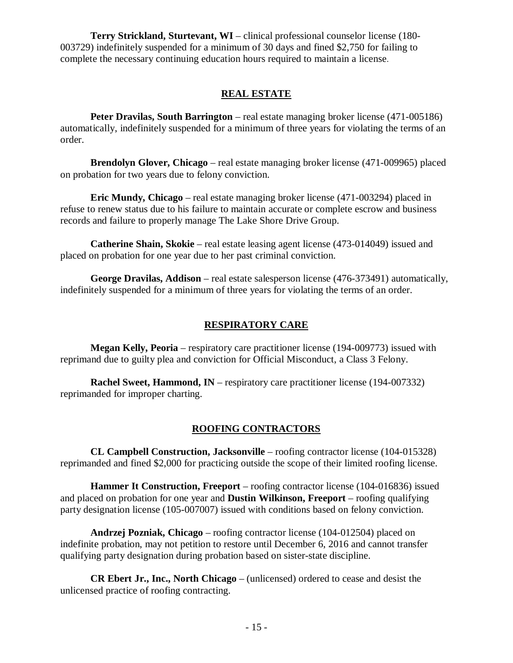**Terry Strickland, Sturtevant, WI** – clinical professional counselor license (180- 003729) indefinitely suspended for a minimum of 30 days and fined \$2,750 for failing to complete the necessary continuing education hours required to maintain a license.

#### **REAL ESTATE**

**Peter Dravilas, South Barrington** – real estate managing broker license (471-005186) automatically, indefinitely suspended for a minimum of three years for violating the terms of an order.

**Brendolyn Glover, Chicago** – real estate managing broker license (471-009965) placed on probation for two years due to felony conviction.

**Eric Mundy, Chicago** – real estate managing broker license (471-003294) placed in refuse to renew status due to his failure to maintain accurate or complete escrow and business records and failure to properly manage The Lake Shore Drive Group.

**Catherine Shain, Skokie** – real estate leasing agent license (473-014049) issued and placed on probation for one year due to her past criminal conviction.

**George Dravilas, Addison** – real estate salesperson license (476-373491) automatically, indefinitely suspended for a minimum of three years for violating the terms of an order.

#### **RESPIRATORY CARE**

**Megan Kelly, Peoria** – respiratory care practitioner license (194-009773) issued with reprimand due to guilty plea and conviction for Official Misconduct, a Class 3 Felony.

**Rachel Sweet, Hammond, IN** – respiratory care practitioner license (194-007332) reprimanded for improper charting.

#### **ROOFING CONTRACTORS**

**CL Campbell Construction, Jacksonville** – roofing contractor license (104-015328) reprimanded and fined \$2,000 for practicing outside the scope of their limited roofing license.

**Hammer It Construction, Freeport** – roofing contractor license (104-016836) issued and placed on probation for one year and **Dustin Wilkinson, Freeport** – roofing qualifying party designation license (105-007007) issued with conditions based on felony conviction.

**Andrzej Pozniak, Chicago** – roofing contractor license (104-012504) placed on indefinite probation, may not petition to restore until December 6, 2016 and cannot transfer qualifying party designation during probation based on sister-state discipline.

**CR Ebert Jr., Inc., North Chicago** – (unlicensed) ordered to cease and desist the unlicensed practice of roofing contracting.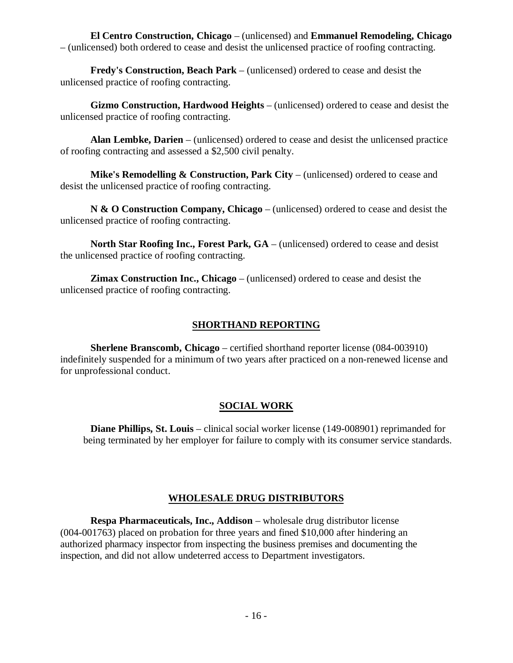**El Centro Construction, Chicago** – (unlicensed) and **Emmanuel Remodeling, Chicago** – (unlicensed) both ordered to cease and desist the unlicensed practice of roofing contracting.

**Fredy's Construction, Beach Park** – (unlicensed) ordered to cease and desist the unlicensed practice of roofing contracting.

**Gizmo Construction, Hardwood Heights** – (unlicensed) ordered to cease and desist the unlicensed practice of roofing contracting.

**Alan Lembke, Darien** – (unlicensed) ordered to cease and desist the unlicensed practice of roofing contracting and assessed a \$2,500 civil penalty.

**Mike's Remodelling & Construction, Park City** – (unlicensed) ordered to cease and desist the unlicensed practice of roofing contracting.

**N & O Construction Company, Chicago** – (unlicensed) ordered to cease and desist the unlicensed practice of roofing contracting.

**North Star Roofing Inc., Forest Park, GA** – (unlicensed) ordered to cease and desist the unlicensed practice of roofing contracting.

**Zimax Construction Inc., Chicago** – (unlicensed) ordered to cease and desist the unlicensed practice of roofing contracting.

# **SHORTHAND REPORTING**

**Sherlene Branscomb, Chicago** – certified shorthand reporter license (084-003910) indefinitely suspended for a minimum of two years after practiced on a non-renewed license and for unprofessional conduct.

# **SOCIAL WORK**

**Diane Phillips, St. Louis** – clinical social worker license (149-008901) reprimanded for being terminated by her employer for failure to comply with its consumer service standards.

# **WHOLESALE DRUG DISTRIBUTORS**

**Respa Pharmaceuticals, Inc., Addison** – wholesale drug distributor license (004-001763) placed on probation for three years and fined \$10,000 after hindering an authorized pharmacy inspector from inspecting the business premises and documenting the inspection, and did not allow undeterred access to Department investigators.